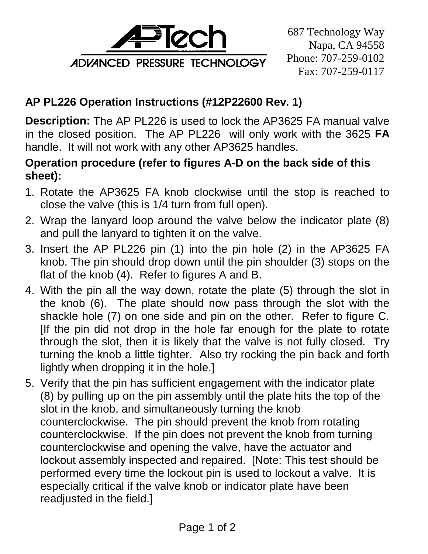

687 Technology Way Napa, CA 94558 Phone: 707-259-0102 Fax: 707-259-0117

## **AP PL226 Operation Instructions (#12P22600 Rev. 1)**

**Description:** The AP PL226 is used to lock the AP3625 FA manual valve in the closed position. The AP PL226 will only work with the 3625 **FA** handle. It will not work with any other AP3625 handles.

## **Operation procedure (refer to figures A-D on the back side of this sheet):**

- 1. Rotate the AP3625 FA knob clockwise until the stop is reached to close the valve (this is 1/4 turn from full open).
- 2. Wrap the lanyard loop around the valve below the indicator plate (8) and pull the lanyard to tighten it on the valve.
- 3. Insert the AP PL226 pin (1) into the pin hole (2) in the AP3625 FA knob. The pin should drop down until the pin shoulder (3) stops on the flat of the knob (4). Refer to figures A and B.
- 4. With the pin all the way down, rotate the plate (5) through the slot in the knob (6). The plate should now pass through the slot with the shackle hole (7) on one side and pin on the other. Refer to figure C. [If the pin did not drop in the hole far enough for the plate to rotate through the slot, then it is likely that the valve is not fully closed. Try turning the knob a little tighter. Also try rocking the pin back and forth lightly when dropping it in the hole.]
- 5. Verify that the pin has sufficient engagement with the indicator plate (8) by pulling up on the pin assembly until the plate hits the top of the slot in the knob, and simultaneously turning the knob counterclockwise. The pin should prevent the knob from rotating counterclockwise. If the pin does not prevent the knob from turning counterclockwise and opening the valve, have the actuator and lockout assembly inspected and repaired. [Note: This test should be performed every time the lockout pin is used to lockout a valve. It is especially critical if the valve knob or indicator plate have been readjusted in the field.]